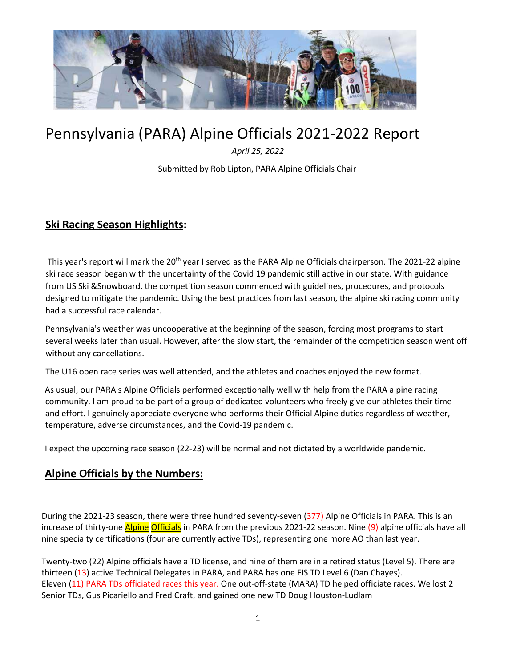

# Pennsylvania (PARA) Alpine Officials 2021-2022 Report

*April 25, 2022*

Submitted by Rob Lipton, PARA Alpine Officials Chair

# **Ski Racing Season Highlights:**

This year's report will mark the 20<sup>th</sup> year I served as the PARA Alpine Officials chairperson. The 2021-22 alpine ski race season began with the uncertainty of the Covid 19 pandemic still active in our state. With guidance from US Ski &Snowboard, the competition season commenced with guidelines, procedures, and protocols designed to mitigate the pandemic. Using the best practices from last season, the alpine ski racing community had a successful race calendar.

Pennsylvania's weather was uncooperative at the beginning of the season, forcing most programs to start several weeks later than usual. However, after the slow start, the remainder of the competition season went off without any cancellations.

The U16 open race series was well attended, and the athletes and coaches enjoyed the new format.

As usual, our PARA's Alpine Officials performed exceptionally well with help from the PARA alpine racing community. I am proud to be part of a group of dedicated volunteers who freely give our athletes their time and effort. I genuinely appreciate everyone who performs their Official Alpine duties regardless of weather, temperature, adverse circumstances, and the Covid-19 pandemic.

I expect the upcoming race season (22-23) will be normal and not dictated by a worldwide pandemic.

## **Alpine Officials by the Numbers:**

During the 2021-23 season, there were three hundred seventy-seven (377) Alpine Officials in PARA. This is an increase of thirty-one *Alpine Officials* in PARA from the previous 2021-22 season. Nine (9) alpine officials have all nine specialty certifications (four are currently active TDs), representing one more AO than last year.

Twenty-two (22) Alpine officials have a TD license, and nine of them are in a retired status (Level 5). There are thirteen (13) active Technical Delegates in PARA, and PARA has one FIS TD Level 6 (Dan Chayes). Eleven (11) PARA TDs officiated races this year. One out-off-state (MARA) TD helped officiate races. We lost 2 Senior TDs, Gus Picariello and Fred Craft, and gained one new TD Doug Houston-Ludlam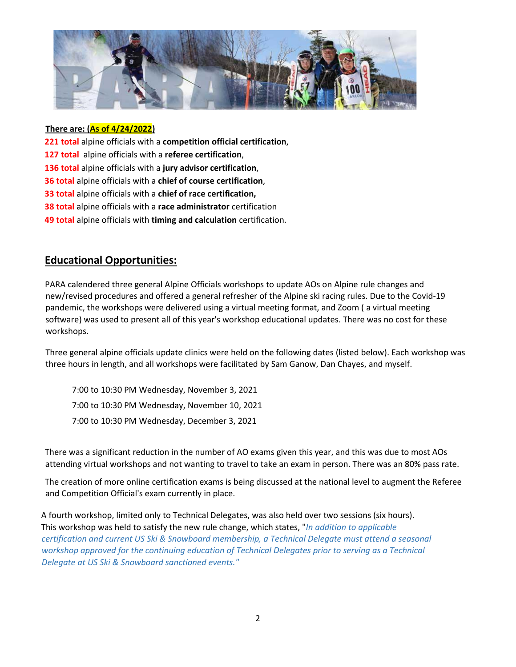

#### **There are: (As of 4/24/2022)**

- **221 total** alpine officials with a **competition official certification**,
- **127 total** alpine officials with a **referee certification**,
- **136 total** alpine officials with a **jury advisor certification**,
- **36 total** alpine officials with a **chief of course certification**,
- **33 total** alpine officials with a **chief of race certification,**
- **38 total** alpine officials with a **race administrator** certification
- **49 total** alpine officials with **timing and calculation** certification.

### **Educational Opportunities:**

PARA calendered three general Alpine Officials workshops to update AOs on Alpine rule changes and new/revised procedures and offered a general refresher of the Alpine ski racing rules. Due to the Covid-19 pandemic, the workshops were delivered using a virtual meeting format, and Zoom ( a virtual meeting software) was used to present all of this year's workshop educational updates. There was no cost for these workshops.

Three general alpine officials update clinics were held on the following dates (listed below). Each workshop was three hours in length, and all workshops were facilitated by Sam Ganow, Dan Chayes, and myself.

7:00 to 10:30 PM Wednesday, November 3, 2021 7:00 to 10:30 PM Wednesday, November 10, 2021 7:00 to 10:30 PM Wednesday, December 3, 2021

There was a significant reduction in the number of AO exams given this year, and this was due to most AOs attending virtual workshops and not wanting to travel to take an exam in person. There was an 80% pass rate.

The creation of more online certification exams is being discussed at the national level to augment the Referee and Competition Official's exam currently in place.

A fourth workshop, limited only to Technical Delegates, was also held over two sessions (six hours). This workshop was held to satisfy the new rule change, which states, "*In addition to applicable certification and current US Ski & Snowboard membership, a Technical Delegate must attend a seasonal workshop approved for the continuing education of Technical Delegates prior to serving as a Technical Delegate at US Ski & Snowboard sanctioned events."*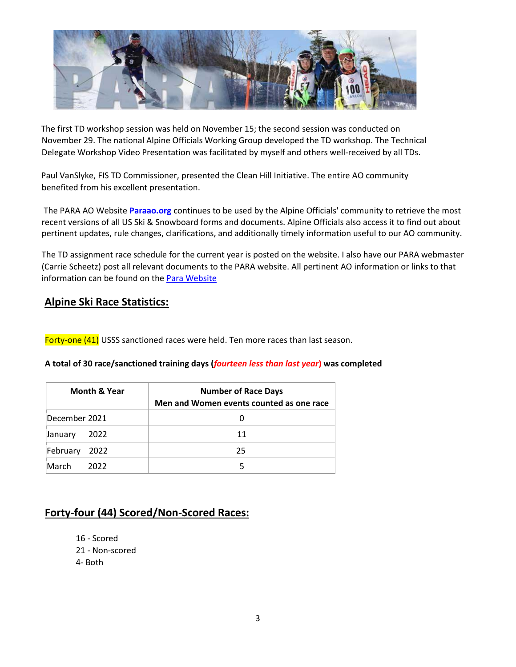

The first TD workshop session was held on November 15; the second session was conducted on November 29. The national Alpine Officials Working Group developed the TD workshop. The Technical Delegate Workshop Video Presentation was facilitated by myself and others well-received by all TDs.

Paul VanSlyke, FIS TD Commissioner, presented the Clean Hill Initiative. The entire AO community benefited from his excellent presentation.

The PARA AO Website **[Paraao.org](https://sites.google.com/view/paraao/)** continues to be used by the Alpine Officials' community to retrieve the most recent versions of all US Ski & Snowboard forms and documents. Alpine Officials also access it to find out about pertinent updates, rule changes, clarifications, and additionally timely information useful to our AO community.

The TD assignment race schedule for the current year is posted on the website. I also have our PARA webmaster (Carrie Scheetz) post all relevant documents to the PARA website. All pertinent AO information or links to that information can be found on th[e Para Website](http://www.paracing.org/)

## **Alpine Ski Race Statistics:**

Forty-one (41) USSS sanctioned races were held. Ten more races than last season.

#### **A total of 30 race/sanctioned training days (***fourteen less than last year***) was completed**

| <b>Month &amp; Year</b> | <b>Number of Race Days</b><br>Men and Women events counted as one race |
|-------------------------|------------------------------------------------------------------------|
| December 2021           |                                                                        |
| 2022<br>January         | 11                                                                     |
| February<br>2022        | 25                                                                     |
| March<br>2022           |                                                                        |

# **Forty-four (44) Scored/Non-Scored Races:**

16 - Scored 21 - Non-scored 4- Both